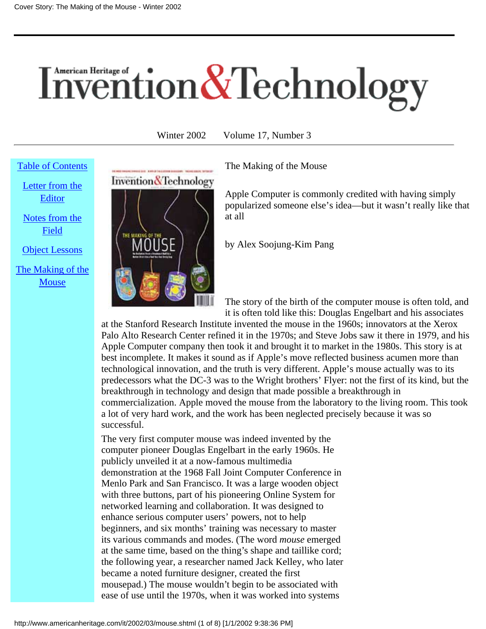# <span id="page-0-1"></span><span id="page-0-0"></span>Invention & Technology

Winter 2002 Volume 17, Number 3

### [Table of Contents](http://www.americanheritage.com/it/index.shtml)

[Letter from the](http://www.americanheritage.com/it/2002/03/edletter.shtml) [Editor](http://www.americanheritage.com/it/2002/03/edletter.shtml)

[Notes from the](http://www.americanheritage.com/it/2002/03/notes.shtml) [Field](http://www.americanheritage.com/it/2002/03/notes.shtml)

[Object Lessons](http://www.americanheritage.com/it/2002/03/objlessons.shtml)

[The Making of the](#page-0-0) **[Mouse](#page-0-0)** 



The Making of the Mouse

Apple Computer is commonly credited with having simply popularized someone else's idea—but it wasn't really like that at all

by Alex Soojung-Kim Pang

The story of the birth of the computer mouse is often told, and it is often told like this: Douglas Engelbart and his associates

at the Stanford Research Institute invented the mouse in the 1960s; innovators at the Xerox Palo Alto Research Center refined it in the 1970s; and Steve Jobs saw it there in 1979, and his Apple Computer company then took it and brought it to market in the 1980s. This story is at best incomplete. It makes it sound as if Apple's move reflected business acumen more than technological innovation, and the truth is very different. Apple's mouse actually was to its predecessors what the DC-3 was to the Wright brothers' Flyer: not the first of its kind, but the breakthrough in technology and design that made possible a breakthrough in commercialization. Apple moved the mouse from the laboratory to the living room. This took a lot of very hard work, and the work has been neglected precisely because it was so successful.

The very first computer mouse was indeed invented by the computer pioneer Douglas Engelbart in the early 1960s. He publicly unveiled it at a now-famous multimedia demonstration at the 1968 Fall Joint Computer Conference in Menlo Park and San Francisco. It was a large wooden object with three buttons, part of his pioneering Online System for networked learning and collaboration. It was designed to enhance serious computer users' powers, not to help beginners, and six months' training was necessary to master its various commands and modes. (The word *mouse* emerged at the same time, based on the thing's shape and taillike cord; the following year, a researcher named Jack Kelley, who later became a noted furniture designer, created the first mousepad.) The mouse wouldn't begin to be associated with ease of use until the 1970s, when it was worked into systems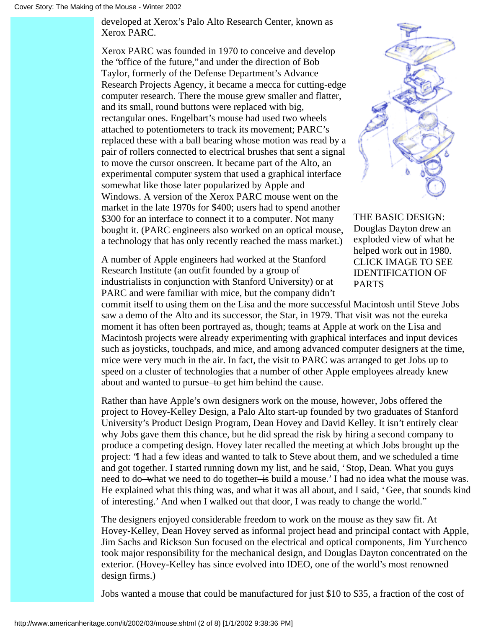developed at Xerox's Palo Alto Research Center, known as Xerox PARC.

Xerox PARC was founded in 1970 to conceive and develop the "office of the future," and under the direction of Bob Taylor, formerly of the Defense Department's Advance Research Projects Agency, it became a mecca for cutting-edge computer research. There the mouse grew smaller and flatter, and its small, round buttons were replaced with big, rectangular ones. Engelbart's mouse had used two wheels attached to potentiometers to track its movement; PARC's replaced these with a ball bearing whose motion was read by a pair of rollers connected to electrical brushes that sent a signal to move the cursor onscreen. It became part of the Alto, an experimental computer system that used a graphical interface somewhat like those later popularized by Apple and Windows. A version of the Xerox PARC mouse went on the market in the late 1970s for \$400; users had to spend another \$300 for an interface to connect it to a computer. Not many bought it. (PARC engineers also worked on an optical mouse, a technology that has only recently reached the mass market.)

A number of Apple engineers had worked at the Stanford Research Institute (an outfit founded by a group of industrialists in conjunction with Stanford University) or at PARC and were familiar with mice, but the company didn't



THE BASIC DESIGN: Douglas Dayton drew an exploded view of what he helped work out in 1980. CLICK IMAGE TO SEE IDENTIFICATION OF PARTS

commit itself to using them on the Lisa and the more successful Macintosh until Steve Jobs saw a demo of the Alto and its successor, the Star, in 1979. That visit was not the eureka moment it has often been portrayed as, though; teams at Apple at work on the Lisa and Macintosh projects were already experimenting with graphical interfaces and input devices such as joysticks, touchpads, and mice, and among advanced computer designers at the time, mice were very much in the air. In fact, the visit to PARC was arranged to get Jobs up to speed on a cluster of technologies that a number of other Apple employees already knew about and wanted to pursue—to get him behind the cause.

Rather than have Apple's own designers work on the mouse, however, Jobs offered the project to Hovey-Kelley Design, a Palo Alto start-up founded by two graduates of Stanford University's Product Design Program, Dean Hovey and David Kelley. It isn't entirely clear why Jobs gave them this chance, but he did spread the risk by hiring a second company to produce a competing design. Hovey later recalled the meeting at which Jobs brought up the project: "I had a few ideas and wanted to talk to Steve about them, and we scheduled a time and got together. I started running down my list, and he said, 'Stop, Dean. What you guys need to do—what we need to do together—is build a mouse.' I had no idea what the mouse was. He explained what this thing was, and what it was all about, and I said, 'Gee, that sounds kind of interesting.' And when I walked out that door, I was ready to change the world."

The designers enjoyed considerable freedom to work on the mouse as they saw fit. At Hovey-Kelley, Dean Hovey served as informal project head and principal contact with Apple, Jim Sachs and Rickson Sun focused on the electrical and optical components, Jim Yurchenco took major responsibility for the mechanical design, and Douglas Dayton concentrated on the exterior. (Hovey-Kelley has since evolved into IDEO, one of the world's most renowned design firms.)

Jobs wanted a mouse that could be manufactured for just \$10 to \$35, a fraction of the cost of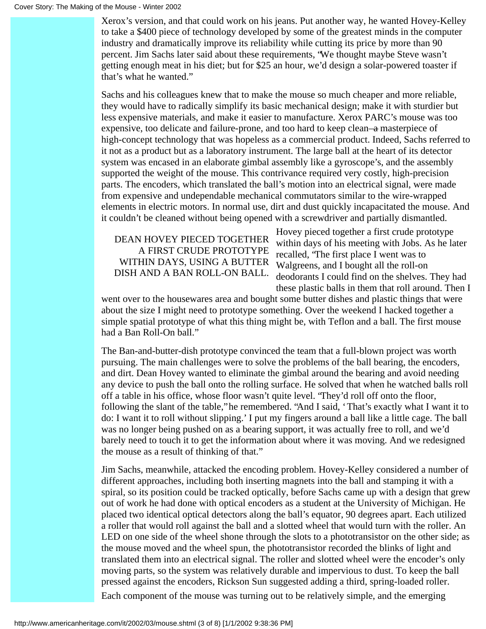Xerox's version, and that could work on his jeans. Put another way, he wanted Hovey-Kelley to take a \$400 piece of technology developed by some of the greatest minds in the computer industry and dramatically improve its reliability while cutting its price by more than 90 percent. Jim Sachs later said about these requirements, "We thought maybe Steve wasn't getting enough meat in his diet; but for \$25 an hour, we'd design a solar-powered toaster if that's what he wanted."

Sachs and his colleagues knew that to make the mouse so much cheaper and more reliable, they would have to radically simplify its basic mechanical design; make it with sturdier but less expensive materials, and make it easier to manufacture. Xerox PARC's mouse was too expensive, too delicate and failure-prone, and too hard to keep clean—a masterpiece of high-concept technology that was hopeless as a commercial product. Indeed, Sachs referred to it not as a product but as a laboratory instrument. The large ball at the heart of its detector system was encased in an elaborate gimbal assembly like a gyroscope's, and the assembly supported the weight of the mouse. This contrivance required very costly, high-precision parts. The encoders, which translated the ball's motion into an electrical signal, were made from expensive and undependable mechanical commutators similar to the wire-wrapped elements in electric motors. In normal use, dirt and dust quickly incapacitated the mouse. And it couldn't be cleaned without being opened with a screwdriver and partially dismantled.

# DEAN HOVEY PIECED TOGETHER A FIRST CRUDE PROTOTYPE WITHIN DAYS, USING A BUTTER DISH AND A BAN ROLL-ON BALL.

Hovey pieced together a first crude prototype within days of his meeting with Jobs. As he later recalled, "The first place I went was to Walgreens, and I bought all the roll-on deodorants I could find on the shelves. They had these plastic balls in them that roll around. Then I

went over to the housewares area and bought some butter dishes and plastic things that were about the size I might need to prototype something. Over the weekend I hacked together a simple spatial prototype of what this thing might be, with Teflon and a ball. The first mouse had a Ban Roll-On ball."

The Ban-and-butter-dish prototype convinced the team that a full-blown project was worth pursuing. The main challenges were to solve the problems of the ball bearing, the encoders, and dirt. Dean Hovey wanted to eliminate the gimbal around the bearing and avoid needing any device to push the ball onto the rolling surface. He solved that when he watched balls roll off a table in his office, whose floor wasn't quite level. "They'd roll off onto the floor, following the slant of the table," he remembered. "And I said, 'That's exactly what I want it to do: I want it to roll without slipping.' I put my fingers around a ball like a little cage. The ball was no longer being pushed on as a bearing support, it was actually free to roll, and we'd barely need to touch it to get the information about where it was moving. And we redesigned the mouse as a result of thinking of that."

Jim Sachs, meanwhile, attacked the encoding problem. Hovey-Kelley considered a number of different approaches, including both inserting magnets into the ball and stamping it with a spiral, so its position could be tracked optically, before Sachs came up with a design that grew out of work he had done with optical encoders as a student at the University of Michigan. He placed two identical optical detectors along the ball's equator, 90 degrees apart. Each utilized a roller that would roll against the ball and a slotted wheel that would turn with the roller. An LED on one side of the wheel shone through the slots to a phototransistor on the other side; as the mouse moved and the wheel spun, the phototransistor recorded the blinks of light and translated them into an electrical signal. The roller and slotted wheel were the encoder's only moving parts, so the system was relatively durable and impervious to dust. To keep the ball pressed against the encoders, Rickson Sun suggested adding a third, spring-loaded roller. Each component of the mouse was turning out to be relatively simple, and the emerging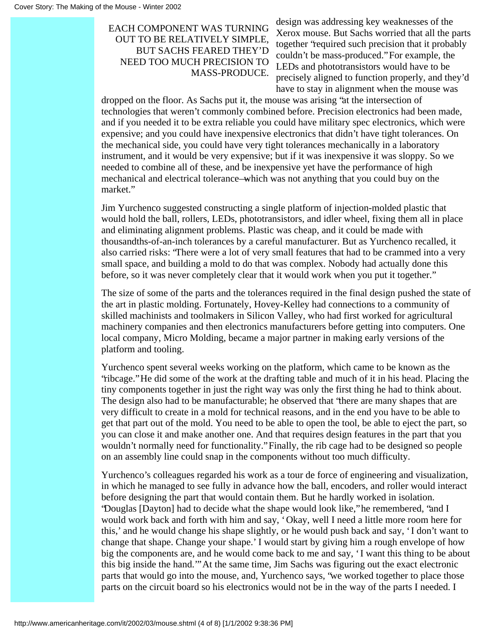# EACH COMPONENT WAS TURNING OUT TO BE RELATIVELY SIMPLE, BUT SACHS FEARED THEY'D NEED TOO MUCH PRECISION TO MASS-PRODUCE.

design was addressing key weaknesses of the Xerox mouse. But Sachs worried that all the parts together "required such precision that it probably couldn't be mass-produced." For example, the LEDs and phototransistors would have to be precisely aligned to function properly, and they'd have to stay in alignment when the mouse was

dropped on the floor. As Sachs put it, the mouse was arising "at the intersection of technologies that weren't commonly combined before. Precision electronics had been made, and if you needed it to be extra reliable you could have military spec electronics, which were expensive; and you could have inexpensive electronics that didn't have tight tolerances. On the mechanical side, you could have very tight tolerances mechanically in a laboratory instrument, and it would be very expensive; but if it was inexpensive it was sloppy. So we needed to combine all of these, and be inexpensive yet have the performance of high mechanical and electrical tolerance—which was not anything that you could buy on the market."

Jim Yurchenco suggested constructing a single platform of injection-molded plastic that would hold the ball, rollers, LEDs, phototransistors, and idler wheel, fixing them all in place and eliminating alignment problems. Plastic was cheap, and it could be made with thousandths-of-an-inch tolerances by a careful manufacturer. But as Yurchenco recalled, it also carried risks: "There were a lot of very small features that had to be crammed into a very small space, and building a mold to do that was complex. Nobody had actually done this before, so it was never completely clear that it would work when you put it together."

The size of some of the parts and the tolerances required in the final design pushed the state of the art in plastic molding. Fortunately, Hovey-Kelley had connections to a community of skilled machinists and toolmakers in Silicon Valley, who had first worked for agricultural machinery companies and then electronics manufacturers before getting into computers. One local company, Micro Molding, became a major partner in making early versions of the platform and tooling.

Yurchenco spent several weeks working on the platform, which came to be known as the "ribcage." He did some of the work at the drafting table and much of it in his head. Placing the tiny components together in just the right way was only the first thing he had to think about. The design also had to be manufacturable; he observed that "there are many shapes that are very difficult to create in a mold for technical reasons, and in the end you have to be able to get that part out of the mold. You need to be able to open the tool, be able to eject the part, so you can close it and make another one. And that requires design features in the part that you wouldn't normally need for functionality." Finally, the rib cage had to be designed so people on an assembly line could snap in the components without too much difficulty.

Yurchenco's colleagues regarded his work as a tour de force of engineering and visualization, in which he managed to see fully in advance how the ball, encoders, and roller would interact before designing the part that would contain them. But he hardly worked in isolation. "Douglas [Dayton] had to decide what the shape would look like," he remembered, "and I would work back and forth with him and say, 'Okay, well I need a little more room here for this,' and he would change his shape slightly, or he would push back and say, 'I don't want to change that shape. Change your shape.' I would start by giving him a rough envelope of how big the components are, and he would come back to me and say, 'I want this thing to be about this big inside the hand.'" At the same time, Jim Sachs was figuring out the exact electronic parts that would go into the mouse, and, Yurchenco says, "we worked together to place those parts on the circuit board so his electronics would not be in the way of the parts I needed. I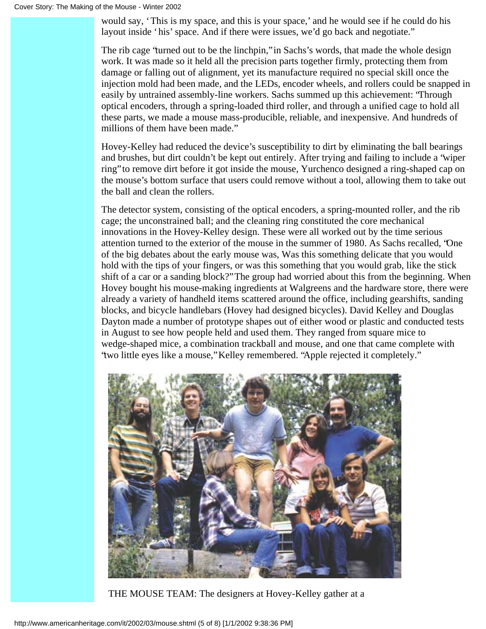would say, 'This is my space, and this is your space,' and he would see if he could do his layout inside 'his' space. And if there were issues, we'd go back and negotiate."

The rib cage "turned out to be the linchpin," in Sachs's words, that made the whole design work. It was made so it held all the precision parts together firmly, protecting them from damage or falling out of alignment, yet its manufacture required no special skill once the injection mold had been made, and the LEDs, encoder wheels, and rollers could be snapped in easily by untrained assembly-line workers. Sachs summed up this achievement: "Through optical encoders, through a spring-loaded third roller, and through a unified cage to hold all these parts, we made a mouse mass-producible, reliable, and inexpensive. And hundreds of millions of them have been made."

Hovey-Kelley had reduced the device's susceptibility to dirt by eliminating the ball bearings and brushes, but dirt couldn't be kept out entirely. After trying and failing to include a "wiper ring" to remove dirt before it got inside the mouse, Yurchenco designed a ring-shaped cap on the mouse's bottom surface that users could remove without a tool, allowing them to take out the ball and clean the rollers.

The detector system, consisting of the optical encoders, a spring-mounted roller, and the rib cage; the unconstrained ball; and the cleaning ring constituted the core mechanical innovations in the Hovey-Kelley design. These were all worked out by the time serious attention turned to the exterior of the mouse in the summer of 1980. As Sachs recalled, "One of the big debates about the early mouse was, Was this something delicate that you would hold with the tips of your fingers, or was this something that you would grab, like the stick shift of a car or a sanding block?" The group had worried about this from the beginning. When Hovey bought his mouse-making ingredients at Walgreens and the hardware store, there were already a variety of handheld items scattered around the office, including gearshifts, sanding blocks, and bicycle handlebars (Hovey had designed bicycles). David Kelley and Douglas Dayton made a number of prototype shapes out of either wood or plastic and conducted tests in August to see how people held and used them. They ranged from square mice to wedge-shaped mice, a combination trackball and mouse, and one that came complete with "two little eyes like a mouse," Kelley remembered. "Apple rejected it completely."



THE MOUSE TEAM: The designers at Hovey-Kelley gather at a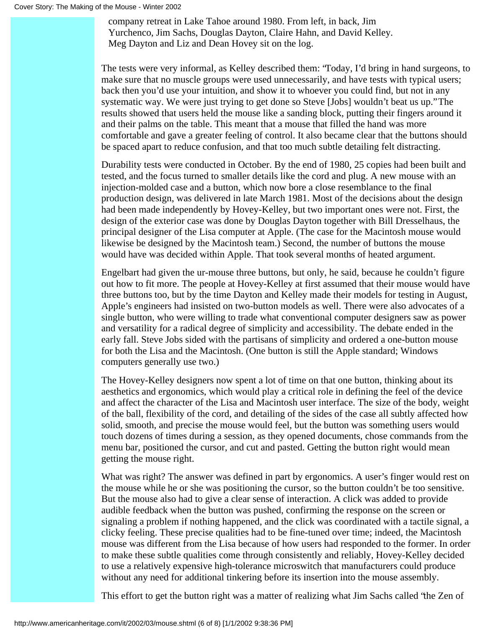company retreat in Lake Tahoe around 1980. From left, in back, Jim Yurchenco, Jim Sachs, Douglas Dayton, Claire Hahn, and David Kelley. Meg Dayton and Liz and Dean Hovey sit on the log.

The tests were very informal, as Kelley described them: "Today, I'd bring in hand surgeons, to make sure that no muscle groups were used unnecessarily, and have tests with typical users; back then you'd use your intuition, and show it to whoever you could find, but not in any systematic way. We were just trying to get done so Steve [Jobs] wouldn't beat us up." The results showed that users held the mouse like a sanding block, putting their fingers around it and their palms on the table. This meant that a mouse that filled the hand was more comfortable and gave a greater feeling of control. It also became clear that the buttons should be spaced apart to reduce confusion, and that too much subtle detailing felt distracting.

Durability tests were conducted in October. By the end of 1980, 25 copies had been built and tested, and the focus turned to smaller details like the cord and plug. A new mouse with an injection-molded case and a button, which now bore a close resemblance to the final production design, was delivered in late March 1981. Most of the decisions about the design had been made independently by Hovey-Kelley, but two important ones were not. First, the design of the exterior case was done by Douglas Dayton together with Bill Dresselhaus, the principal designer of the Lisa computer at Apple. (The case for the Macintosh mouse would likewise be designed by the Macintosh team.) Second, the number of buttons the mouse would have was decided within Apple. That took several months of heated argument.

Engelbart had given the ur-mouse three buttons, but only, he said, because he couldn't figure out how to fit more. The people at Hovey-Kelley at first assumed that their mouse would have three buttons too, but by the time Dayton and Kelley made their models for testing in August, Apple's engineers had insisted on two-button models as well. There were also advocates of a single button, who were willing to trade what conventional computer designers saw as power and versatility for a radical degree of simplicity and accessibility. The debate ended in the early fall. Steve Jobs sided with the partisans of simplicity and ordered a one-button mouse for both the Lisa and the Macintosh. (One button is still the Apple standard; Windows computers generally use two.)

The Hovey-Kelley designers now spent a lot of time on that one button, thinking about its aesthetics and ergonomics, which would play a critical role in defining the feel of the device and affect the character of the Lisa and Macintosh user interface. The size of the body, weight of the ball, flexibility of the cord, and detailing of the sides of the case all subtly affected how solid, smooth, and precise the mouse would feel, but the button was something users would touch dozens of times during a session, as they opened documents, chose commands from the menu bar, positioned the cursor, and cut and pasted. Getting the button right would mean getting the mouse right.

What was right? The answer was defined in part by ergonomics. A user's finger would rest on the mouse while he or she was positioning the cursor, so the button couldn't be too sensitive. But the mouse also had to give a clear sense of interaction. A click was added to provide audible feedback when the button was pushed, confirming the response on the screen or signaling a problem if nothing happened, and the click was coordinated with a tactile signal, a clicky feeling. These precise qualities had to be fine-tuned over time; indeed, the Macintosh mouse was different from the Lisa because of how users had responded to the former. In order to make these subtle qualities come through consistently and reliably, Hovey-Kelley decided to use a relatively expensive high-tolerance microswitch that manufacturers could produce without any need for additional tinkering before its insertion into the mouse assembly.

This effort to get the button right was a matter of realizing what Jim Sachs called "the Zen of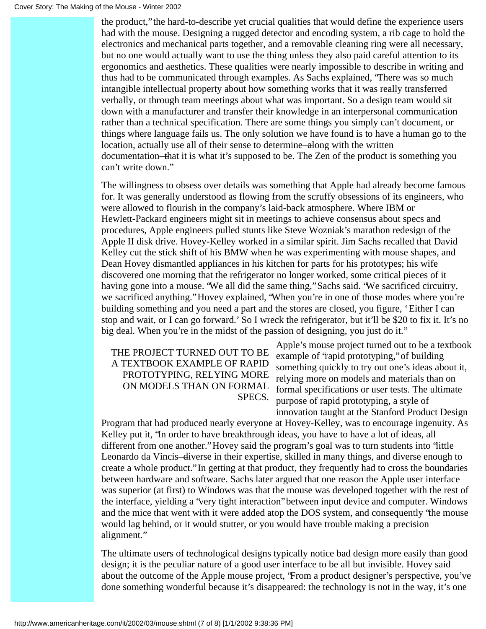the product," the hard-to-describe yet crucial qualities that would define the experience users had with the mouse. Designing a rugged detector and encoding system, a rib cage to hold the electronics and mechanical parts together, and a removable cleaning ring were all necessary, but no one would actually want to use the thing unless they also paid careful attention to its ergonomics and aesthetics. These qualities were nearly impossible to describe in writing and thus had to be communicated through examples. As Sachs explained, "There was so much intangible intellectual property about how something works that it was really transferred verbally, or through team meetings about what was important. So a design team would sit down with a manufacturer and transfer their knowledge in an interpersonal communication rather than a technical specification. There are some things you simply can't document, or things where language fails us. The only solution we have found is to have a human go to the location, actually use all of their sense to determine—along with the written documentation—that it is what it's supposed to be. The Zen of the product is something you can't write down."

The willingness to obsess over details was something that Apple had already become famous for. It was generally understood as flowing from the scruffy obsessions of its engineers, who were allowed to flourish in the company's laid-back atmosphere. Where IBM or Hewlett-Packard engineers might sit in meetings to achieve consensus about specs and procedures, Apple engineers pulled stunts like Steve Wozniak's marathon redesign of the Apple II disk drive. Hovey-Kelley worked in a similar spirit. Jim Sachs recalled that David Kelley cut the stick shift of his BMW when he was experimenting with mouse shapes, and Dean Hovey dismantled appliances in his kitchen for parts for his prototypes; his wife discovered one morning that the refrigerator no longer worked, some critical pieces of it having gone into a mouse. "We all did the same thing," Sachs said. "We sacrificed circuitry, we sacrificed anything." Hovey explained, "When you're in one of those modes where you're building something and you need a part and the stores are closed, you figure, 'Either I can stop and wait, or I can go forward.' So I wreck the refrigerator, but it'll be \$20 to fix it. It's no big deal. When you're in the midst of the passion of designing, you just do it."

## THE PROJECT TURNED OUT TO BE A TEXTBOOK EXAMPLE OF RAPID PROTOTYPING, RELYING MORE ON MODELS THAN ON FORMAL SPECS.

Apple's mouse project turned out to be a textbook example of "rapid prototyping," of building something quickly to try out one's ideas about it, relying more on models and materials than on formal specifications or user tests. The ultimate purpose of rapid prototyping, a style of innovation taught at the Stanford Product Design

Program that had produced nearly everyone at Hovey-Kelley, was to encourage ingenuity. As Kelley put it, "In order to have breakthrough ideas, you have to have a lot of ideas, all different from one another." Hovey said the program's goal was to turn students into "little Leonardo da Vincis—diverse in their expertise, skilled in many things, and diverse enough to create a whole product." In getting at that product, they frequently had to cross the boundaries between hardware and software. Sachs later argued that one reason the Apple user interface was superior (at first) to Windows was that the mouse was developed together with the rest of the interface, yielding a "very tight interaction" between input device and computer. Windows and the mice that went with it were added atop the DOS system, and consequently "the mouse would lag behind, or it would stutter, or you would have trouble making a precision alignment."

The ultimate users of technological designs typically notice bad design more easily than good design; it is the peculiar nature of a good user interface to be all but invisible. Hovey said about the outcome of the Apple mouse project, "From a product designer's perspective, you've done something wonderful because it's disappeared: the technology is not in the way, it's one